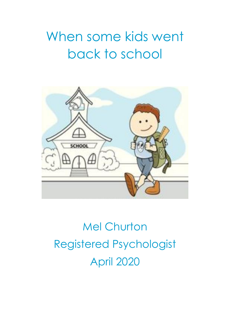## When some kids went back to school



## Mel Churton Registered Psychologist April 2020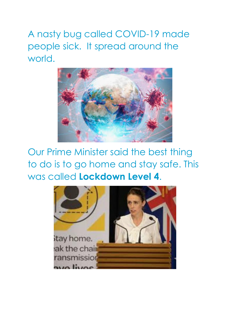A nasty bug called COVID-19 made people sick. It spread around the world.



Our Prime Minister said the best thing to do is to go home and stay safe. This was called **Lockdown Level 4**.

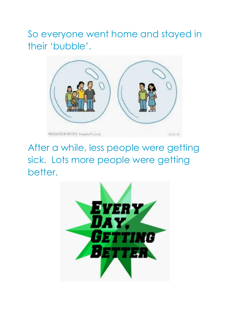So everyone went home and stayed in their 'bubble'.



After a while, less people were getting sick. Lots more people were getting better.

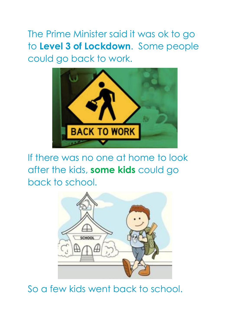The Prime Minister said it was ok to go to **Level 3 of Lockdown**. Some people could go back to work.



If there was no one at home to look after the kids, **some kids** could go back to school.



So a few kids went back to school.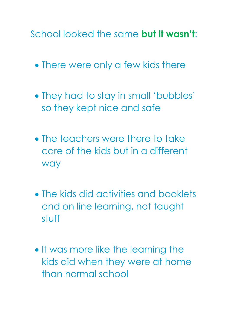School looked the same **but it wasn't**:

- There were only a few kids there
- They had to stay in small 'bubbles' so they kept nice and safe
- The teachers were there to take care of the kids but in a different way
- The kids did activities and booklets and on line learning, not taught stuff
- It was more like the learning the kids did when they were at home than normal school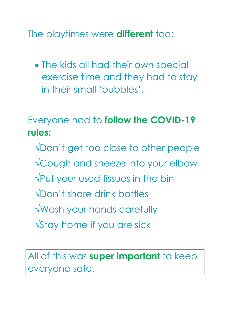The playtimes were **different** too:

 The kids all had their own special exercise time and they had to stay in their small 'bubbles'.

Everyone had to **follow the COVID-19 rules:**

- √Don't get too close to other people
- √Cough and sneeze into your elbow
- √Put your used tissues in the bin
- √Don't share drink bottles
- √Wash your hands carefully
- √Stay home if you are sick

All of this was **super important** to keep everyone safe.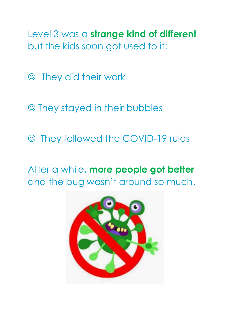Level 3 was a **strange kind of different** but the kids soon got used to it:

They did their work

They stayed in their bubbles

They followed the COVID-19 rules

After a while, **more people got better** and the bug wasn't around so much.